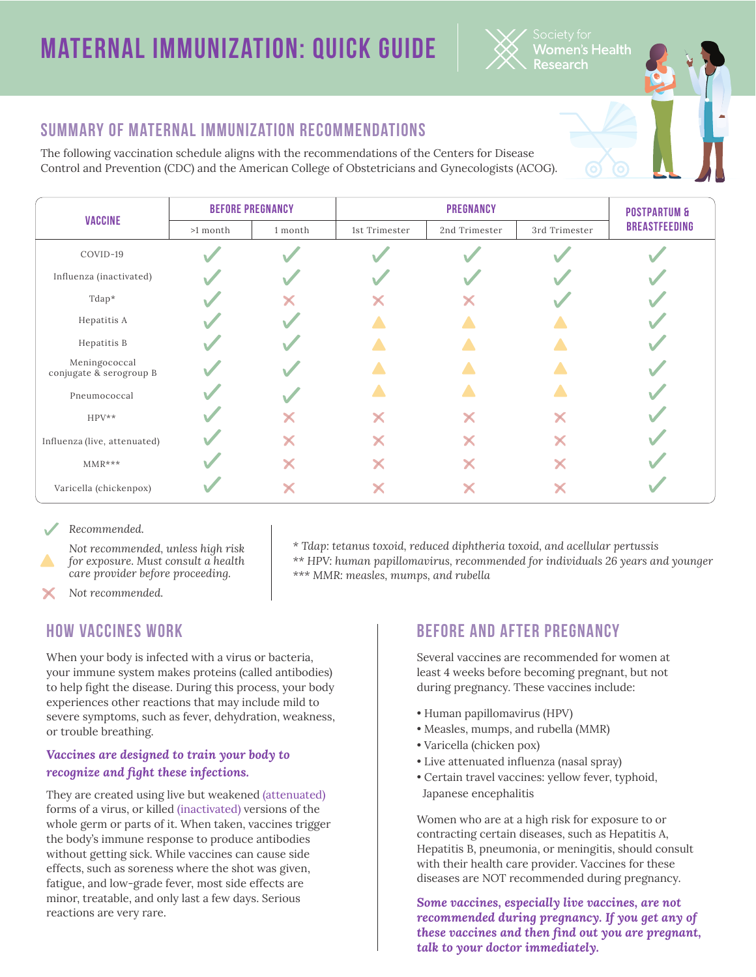# **Maternal Immunization: Quick Guide**



## **Summary of Maternal Immunization Recommendations**

The following vaccination schedule aligns with the recommendations of the Centers for Disease Control and Prevention (CDC) and the American College of Obstetricians and Gynecologists (ACOG).

| <b>VACCINE</b>                           | <b>BEFORE PREGNANCY</b> |         | <b>PREGNANCY</b> |               |               | <b>POSTPARTUM &amp;</b> |
|------------------------------------------|-------------------------|---------|------------------|---------------|---------------|-------------------------|
|                                          | >1 month                | 1 month | 1st Trimester    | 2nd Trimester | 3rd Trimester | <b>BREASTFEEDING</b>    |
| COVID-19                                 |                         |         |                  |               |               |                         |
| Influenza (inactivated)                  |                         |         |                  |               |               |                         |
| Tdap*                                    |                         |         |                  |               |               |                         |
| Hepatitis A                              |                         |         |                  |               |               |                         |
| Hepatitis B                              |                         |         |                  |               |               |                         |
| Meningococcal<br>conjugate & serogroup B |                         |         |                  |               |               |                         |
| Pneumococcal                             |                         |         |                  |               |               |                         |
| $HPV**$                                  |                         |         | X                | X             | X             |                         |
| Influenza (live, attenuated)             |                         |         |                  | X             | X             |                         |
| $MMR***$                                 |                         |         |                  | X             |               |                         |
| Varicella (chickenpox)                   |                         |         |                  | Х             |               |                         |

*Recommended.*

*Not recommended, unless high risk for exposure. Must consult a health care provider before proceeding.*

*\* Tdap: tetanus toxoid, reduced diphtheria toxoid, and acellular pertussis \*\* HPV: human papillomavirus, recommended for individuals 26 years and younger \*\*\* MMR: measles, mumps, and rubella*

*Not recommended.*

## **How Vaccines Work**

When your body is infected with a virus or bacteria, your immune system makes proteins (called antibodies) to help fight the disease. During this process, your body experiences other reactions that may include mild to severe symptoms, such as fever, dehydration, weakness, or trouble breathing.

### *Vaccines are designed to train your body to recognize and fight these infections.*

They are created using live but weakened (attenuated) forms of a virus, or killed (inactivated) versions of the whole germ or parts of it. When taken, vaccines trigger the body's immune response to produce antibodies without getting sick. While vaccines can cause side effects, such as soreness where the shot was given, fatigue, and low-grade fever, most side effects are minor, treatable, and only last a few days. Serious reactions are very rare.

## **Before and After Pregnancy**

Several vaccines are recommended for women at least 4 weeks before becoming pregnant, but not during pregnancy. These vaccines include:

- Human papillomavirus (HPV)
- Measles, mumps, and rubella (MMR)
- Varicella (chicken pox)
- Live attenuated influenza (nasal spray)
- Certain travel vaccines: yellow fever, typhoid, Japanese encephalitis

Women who are at a high risk for exposure to or contracting certain diseases, such as Hepatitis A, Hepatitis B, pneumonia, or meningitis, should consult with their health care provider. Vaccines for these diseases are NOT recommended during pregnancy.

*Some vaccines, especially live vaccines, are not recommended during pregnancy. If you get any of these vaccines and then find out you are pregnant, talk to your doctor immediately.*